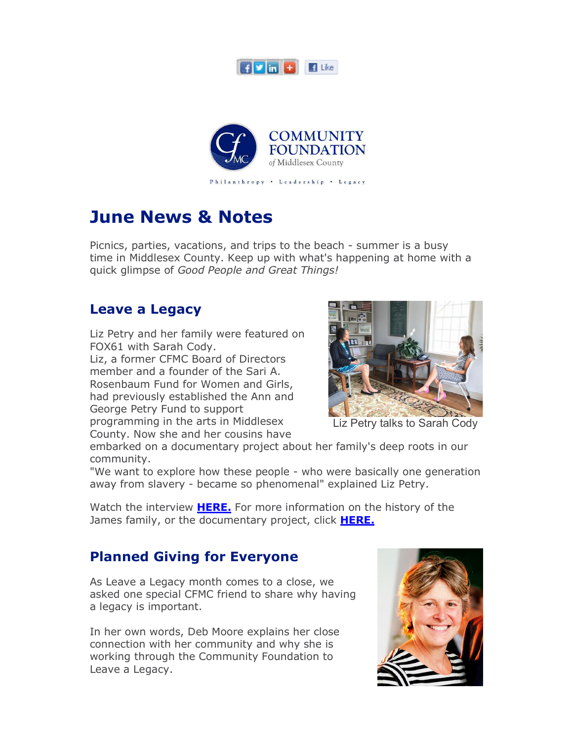



# **June News & Notes**

Picnics, parties, vacations, and trips to the beach - summer is a busy time in Middlesex County. Keep up with what's happening at home with a quick glimpse of *Good People and Great Things!*

#### **Leave a Legacy**

Liz Petry and her family were featured on FOX61 with Sarah Cody.

Liz, a former CFMC Board of Directors member and a founder of the Sari A. Rosenbaum Fund for Women and Girls, had previously established the Ann and George Petry Fund to support programming in the arts in Middlesex

County. Now she and her cousins have



Liz Petry talks to Sarah Cody

embarked on a documentary project about her family's deep roots in our community.

"We want to explore how these people - who were basically one generation away from slavery - became so phenomenal" explained Liz Petry.

Watch the interview **HERE.** For more information on the history of the James family, or the documentary project, click **HERE.**

### **Planned Giving for Everyone**

As Leave a Legacy month comes to a close, we asked one special CFMC friend to share why having a legacy is important.

In her own words, Deb Moore explains her close connection with her community and why she is working through the Community Foundation to Leave a Legacy.

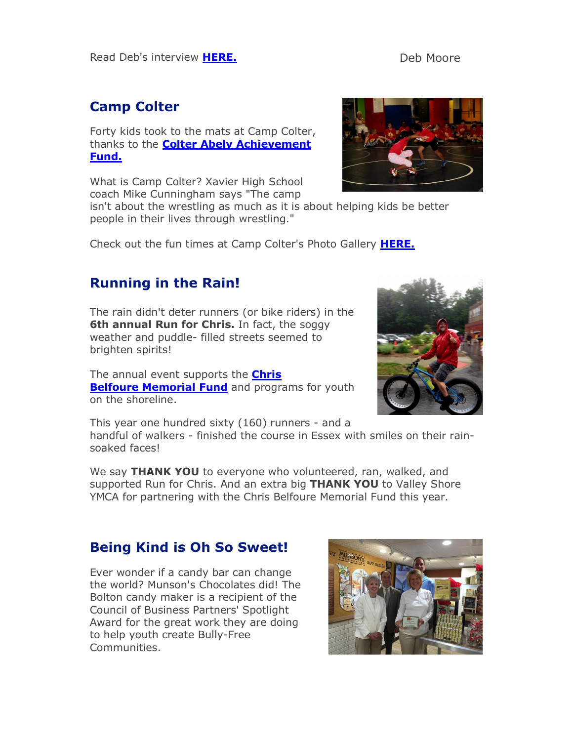#### **Camp Colter**

Forty kids took to the mats at Camp Colter, thanks to the **Colter Abely Achievement Fund.**

What is Camp Colter? Xavier High School coach Mike Cunningham says "The camp

isn't about the wrestling as much as it is about helping kids be better people in their lives through wrestling."

Check out the fun times at Camp Colter's Photo Gallery **HERE.**

#### **Running in the Rain!**

The rain didn't deter runners (or bike riders) in the **6th annual Run for Chris.** In fact, the soggy weather and puddle- filled streets seemed to brighten spirits!

The annual event supports the **Chris Belfoure Memorial Fund** and programs for youth on the shoreline.



This year one hundred sixty (160) runners - and a handful of walkers - finished the course in Essex with smiles on their rainsoaked faces!

We say **THANK YOU** to everyone who volunteered, ran, walked, and supported Run for Chris. And an extra big **THANK YOU** to Valley Shore YMCA for partnering with the Chris Belfoure Memorial Fund this year.

#### **Being Kind is Oh So Sweet!**

Ever wonder if a candy bar can change the world? Munson's Chocolates did! The Bolton candy maker is a recipient of the Council of Business Partners' Spotlight Award for the great work they are doing to help youth create Bully-Free Communities.



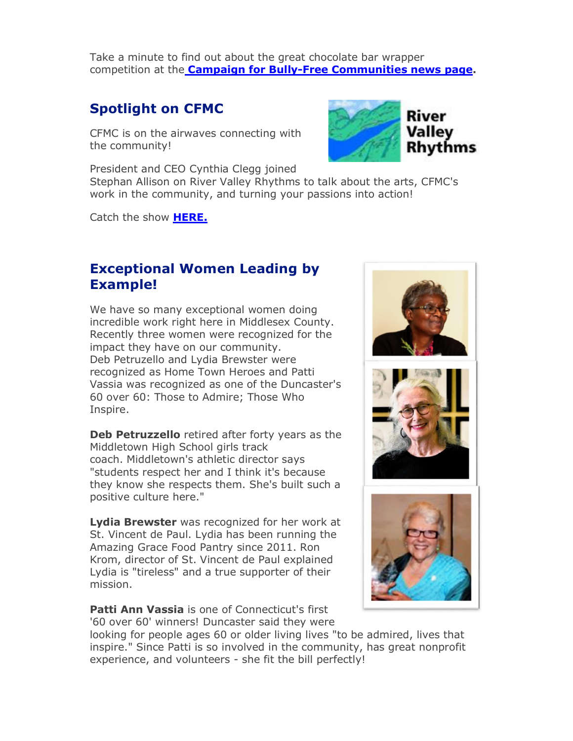Take a minute to find out about the great chocolate bar wrapper competition at the **Campaign for Bully-Free Communities news page.**

#### **Spotlight on CFMC**

CFMC is on the airwaves connecting with the community!

President and CEO Cynthia Clegg joined



Stephan Allison on River Valley Rhythms to talk about the arts, CFMC's work in the community, and turning your passions into action!

Catch the show **HERE.**

#### **Exceptional Women Leading by Example!**

We have so many exceptional women doing incredible work right here in Middlesex County. Recently three women were recognized for the impact they have on our community. Deb Petruzello and Lydia Brewster were recognized as Home Town Heroes and Patti Vassia was recognized as one of the Duncaster's 60 over 60: Those to Admire; Those Who Inspire.

**Deb Petruzzello** retired after forty years as the Middletown High School girls track coach. Middletown's athletic director says "students respect her and I think it's because they know she respects them. She's built such a positive culture here."

**Lydia Brewster** was recognized for her work at St. Vincent de Paul. Lydia has been running the Amazing Grace Food Pantry since 2011. Ron Krom, director of St. Vincent de Paul explained Lydia is "tireless" and a true supporter of their mission.

**Patti Ann Vassia** is one of Connecticut's first '60 over 60' winners! Duncaster said they were







looking for people ages 60 or older living lives "to be admired, lives that inspire." Since Patti is so involved in the community, has great nonprofit experience, and volunteers - she fit the bill perfectly!